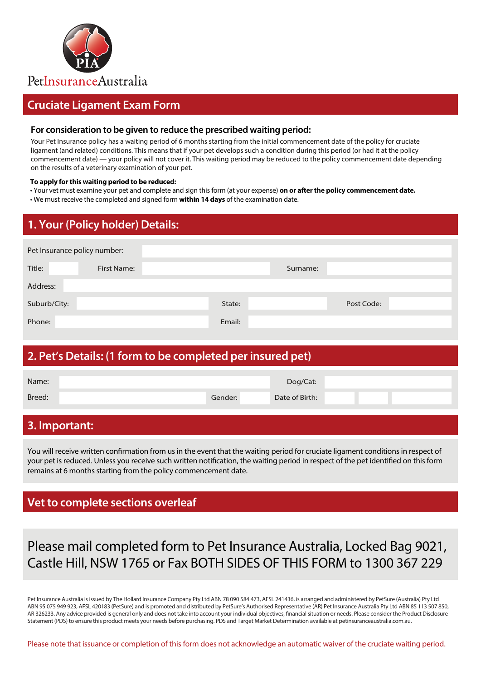

# **Cruciate Ligament Exam Form**

## **For consideration to be given to reduce the prescribed waiting period:**

Your Pet Insurance policy has a waiting period of 6 months starting from the initial commencement date of the policy for cruciate ligament (and related) conditions. This means that if your pet develops such a condition during this period (or had it at the policy commencement date) — your policy will not cover it. This waiting period may be reduced to the policy commencement date depending on the results of a veterinary examination of your pet.

### **To apply for this waiting period to be reduced:**

- Your vet must examine your pet and complete and sign this form (at your expense) **on or after the policy commencement date.**
- We must receive the completed and signed form **within 14 days** of the examination date.

| 1. Your (Policy holder) Details: |        |          |            |  |  |
|----------------------------------|--------|----------|------------|--|--|
| Pet Insurance policy number:     |        |          |            |  |  |
| Title:<br>First Name:            |        | Surname: |            |  |  |
| Address:                         |        |          |            |  |  |
| Suburb/City:                     | State: |          | Post Code: |  |  |
| Phone:                           | Email: |          |            |  |  |

# **2. Pet's Details: (1 form to be completed per insured pet)**

| Name:  |         | Dog/Cat:       |  |
|--------|---------|----------------|--|
| Breed: | Gender: | Date of Birth: |  |
|        |         |                |  |

## **3. Important:**

You will receive written confirmation from us in the event that the waiting period for cruciate ligament conditions in respect of your pet is reduced. Unless you receive such written notification, the waiting period in respect of the pet identified on this form remains at 6 months starting from the policy commencement date.

# **Vet to complete sections overleaf**

# Please mail completed form to Pet Insurance Australia, Locked Bag 9021, Castle Hill, NSW 1765 or Fax BOTH SIDES OF THIS FORM to 1300 367 229

Pet Insurance Australia is issued by The Hollard Insurance Company Pty Ltd ABN 78 090 584 473, AFSL 241436, is arranged and administered by PetSure (Australia) Pty Ltd ABN 95 075 949 923, AFSL 420183 (PetSure) and is promoted and distributed by PetSure's Authorised Representative (AR) Pet Insurance Australia Pty Ltd ABN 85 113 507 850, AR 326233. Any advice provided is general only and does not take into account your individual objectives, nancial situation or needs. Please consider the Product Disclosure Statement (PDS) to ensure this product meets your needs before purchasing. PDS and Target Market Determination available at petinsuranceaustralia.com.au.